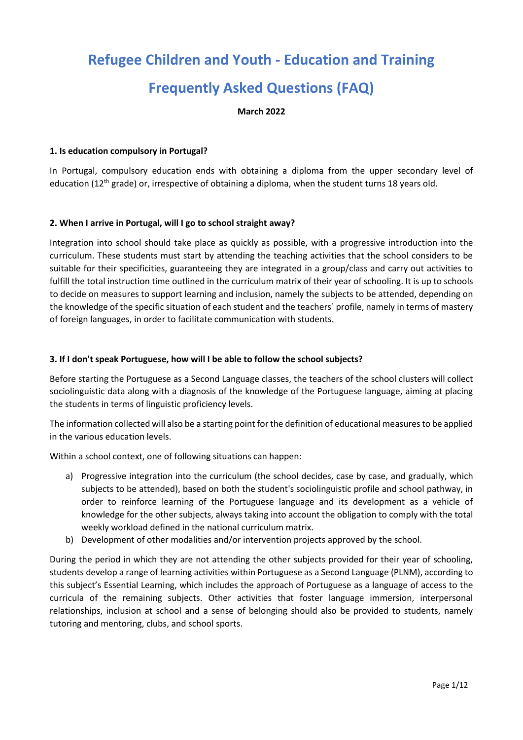# **Refugee Children and Youth - Education and Training Frequently Asked Questions (FAQ)**

**March 2022**

## **1. Is education compulsory in Portugal?**

In Portugal, compulsory education ends with obtaining a diploma from the upper secondary level of education (12<sup>th</sup> grade) or, irrespective of obtaining a diploma, when the student turns 18 years old.

## **2. When I arrive in Portugal, will I go to school straight away?**

Integration into school should take place as quickly as possible, with a progressive introduction into the curriculum. These students must start by attending the teaching activities that the school considers to be suitable for their specificities, guaranteeing they are integrated in a group/class and carry out activities to fulfill the total instruction time outlined in the curriculum matrix of their year of schooling. It is up to schools to decide on measures to support learning and inclusion, namely the subjects to be attended, depending on the knowledge of the specific situation of each student and the teachers´ profile, namely in terms of mastery of foreign languages, in order to facilitate communication with students.

## **3. If I don't speak Portuguese, how will I be able to follow the school subjects?**

Before starting the Portuguese as a Second Language classes, the teachers of the school clusters will collect sociolinguistic data along with a diagnosis of the knowledge of the Portuguese language, aiming at placing the students in terms of linguistic proficiency levels.

The information collected will also be a starting point for the definition of educational measures to be applied in the various education levels.

Within a school context, one of following situations can happen:

- a) Progressive integration into the curriculum (the school decides, case by case, and gradually, which subjects to be attended), based on both the student's sociolinguistic profile and school pathway, in order to reinforce learning of the Portuguese language and its development as a vehicle of knowledge for the other subjects, always taking into account the obligation to comply with the total weekly workload defined in the national curriculum matrix.
- b) Development of other modalities and/or intervention projects approved by the school.

During the period in which they are not attending the other subjects provided for their year of schooling, students develop a range of learning activities within Portuguese as a Second Language (PLNM), according to this subject's Essential Learning, which includes the approach of Portuguese as a language of access to the curricula of the remaining subjects. Other activities that foster language immersion, interpersonal relationships, inclusion at school and a sense of belonging should also be provided to students, namely tutoring and mentoring, clubs, and school sports.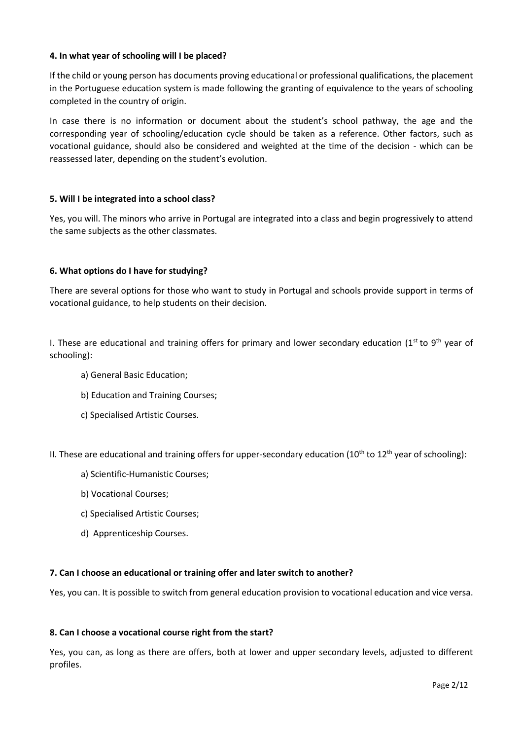## **4. In what year of schooling will I be placed?**

If the child or young person has documents proving educational or professional qualifications, the placement in the Portuguese education system is made following the granting of equivalence to the years of schooling completed in the country of origin.

In case there is no information or document about the student's school pathway, the age and the corresponding year of schooling/education cycle should be taken as a reference. Other factors, such as vocational guidance, should also be considered and weighted at the time of the decision - which can be reassessed later, depending on the student's evolution.

## **5. Will I be integrated into a school class?**

Yes, you will. The minors who arrive in Portugal are integrated into a class and begin progressively to attend the same subjects as the other classmates.

## **6. What options do I have for studying?**

There are several options for those who want to study in Portugal and schools provide support in terms of vocational guidance, to help students on their decision.

I. These are educational and training offers for primary and lower secondary education (1st to 9<sup>th</sup> year of schooling):

- a) General Basic Education;
- b) Education and Training Courses;
- c) Specialised Artistic Courses.

II. These are educational and training offers for upper-secondary education ( $10^{th}$  to  $12^{th}$  year of schooling):

- a) Scientific-Humanistic Courses;
- b) Vocational Courses;
- c) Specialised Artistic Courses;
- d) Apprenticeship Courses.

## **7. Can I choose an educational or training offer and later switch to another?**

Yes, you can. It is possible to switch from general education provision to vocational education and vice versa.

## **8. Can I choose a vocational course right from the start?**

Yes, you can, as long as there are offers, both at lower and upper secondary levels, adjusted to different profiles.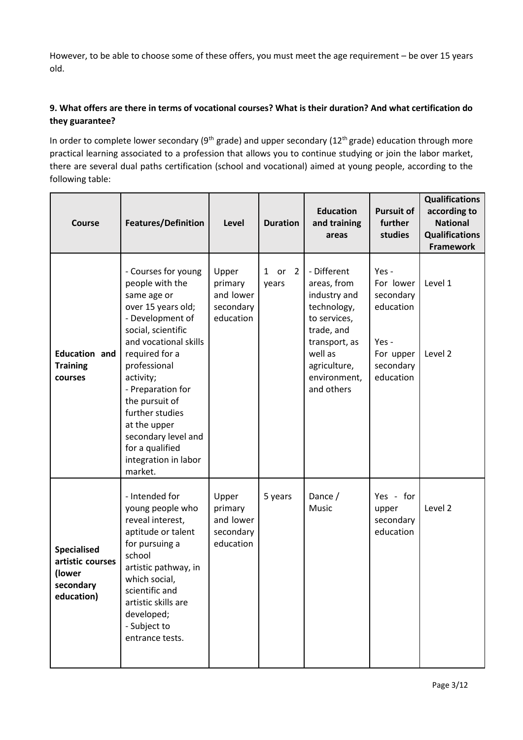However, to be able to choose some of these offers, you must meet the age requirement – be over 15 years old.

## **9. What offers are there in terms of vocational courses? What is their duration? And what certification do they guarantee?**

In order to complete lower secondary (9<sup>th</sup> grade) and upper secondary (12<sup>th</sup> grade) education through more practical learning associated to a profession that allows you to continue studying or join the labor market, there are several dual paths certification (school and vocational) aimed at young people, according to the following table:

| <b>Course</b>                                                               | <b>Features/Definition</b>                                                                                                                                                                                                                                                                                                                           | Level                                                   | <b>Duration</b>                    | <b>Education</b><br>and training<br>areas                                                                                                                         | <b>Pursuit of</b><br>further<br>studies                                                      | <b>Qualifications</b><br>according to<br><b>National</b><br><b>Qualifications</b><br><b>Framework</b> |
|-----------------------------------------------------------------------------|------------------------------------------------------------------------------------------------------------------------------------------------------------------------------------------------------------------------------------------------------------------------------------------------------------------------------------------------------|---------------------------------------------------------|------------------------------------|-------------------------------------------------------------------------------------------------------------------------------------------------------------------|----------------------------------------------------------------------------------------------|-------------------------------------------------------------------------------------------------------|
| <b>Education and</b><br><b>Training</b><br>courses                          | - Courses for young<br>people with the<br>same age or<br>over 15 years old;<br>- Development of<br>social, scientific<br>and vocational skills<br>required for a<br>professional<br>activity;<br>- Preparation for<br>the pursuit of<br>further studies<br>at the upper<br>secondary level and<br>for a qualified<br>integration in labor<br>market. | Upper<br>primary<br>and lower<br>secondary<br>education | or<br>$\overline{2}$<br>1<br>years | - Different<br>areas, from<br>industry and<br>technology,<br>to services,<br>trade, and<br>transport, as<br>well as<br>agriculture,<br>environment,<br>and others | Yes -<br>For lower<br>secondary<br>education<br>Yes -<br>For upper<br>secondary<br>education | Level 1<br>Level 2                                                                                    |
| <b>Specialised</b><br>artistic courses<br>(lower<br>secondary<br>education) | - Intended for<br>young people who<br>reveal interest,<br>aptitude or talent<br>for pursuing a<br>school<br>artistic pathway, in<br>which social,<br>scientific and<br>artistic skills are<br>developed;<br>- Subject to<br>entrance tests.                                                                                                          | Upper<br>primary<br>and lower<br>secondary<br>education | 5 years                            | Dance /<br>Music                                                                                                                                                  | Yes - for<br>upper<br>secondary<br>education                                                 | Level 2                                                                                               |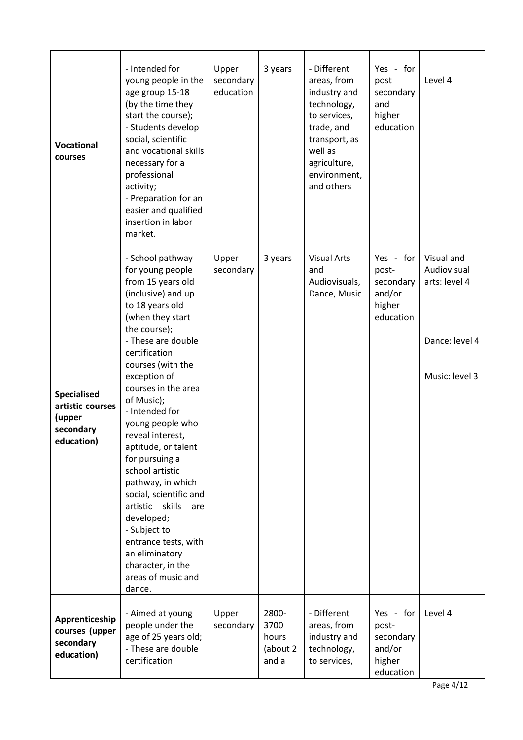| <b>Vocational</b><br>courses                                                | - Intended for<br>young people in the<br>age group 15-18<br>(by the time they<br>start the course);<br>- Students develop<br>social, scientific<br>and vocational skills<br>necessary for a<br>professional<br>activity;<br>- Preparation for an<br>easier and qualified<br>insertion in labor<br>market.                                                                                                                                                                                                                                                                              | Upper<br>secondary<br>education | 3 years                                     | - Different<br>areas, from<br>industry and<br>technology,<br>to services,<br>trade, and<br>transport, as<br>well as<br>agriculture,<br>environment,<br>and others | Yes - for<br>post<br>secondary<br>and<br>higher<br>education     | Level 4                                                                        |
|-----------------------------------------------------------------------------|----------------------------------------------------------------------------------------------------------------------------------------------------------------------------------------------------------------------------------------------------------------------------------------------------------------------------------------------------------------------------------------------------------------------------------------------------------------------------------------------------------------------------------------------------------------------------------------|---------------------------------|---------------------------------------------|-------------------------------------------------------------------------------------------------------------------------------------------------------------------|------------------------------------------------------------------|--------------------------------------------------------------------------------|
| <b>Specialised</b><br>artistic courses<br>(upper<br>secondary<br>education) | - School pathway<br>for young people<br>from 15 years old<br>(inclusive) and up<br>to 18 years old<br>(when they start<br>the course);<br>- These are double<br>certification<br>courses (with the<br>exception of<br>courses in the area<br>of Music);<br>- Intended for<br>young people who<br>reveal interest,<br>aptitude, or talent<br>for pursuing a<br>school artistic<br>pathway, in which<br>social, scientific and<br>skills<br>artistic<br>are<br>developed;<br>- Subject to<br>entrance tests, with<br>an eliminatory<br>character, in the<br>areas of music and<br>dance. | Upper<br>secondary              | 3 years                                     | <b>Visual Arts</b><br>and<br>Audiovisuals,<br>Dance, Music                                                                                                        | Yes - for<br>post-<br>secondary<br>and/or<br>higher<br>education | Visual and<br>Audiovisual<br>arts: level 4<br>Dance: level 4<br>Music: level 3 |
| Apprenticeship<br>courses (upper<br>secondary<br>education)                 | - Aimed at young<br>people under the<br>age of 25 years old;<br>- These are double<br>certification                                                                                                                                                                                                                                                                                                                                                                                                                                                                                    | Upper<br>secondary              | 2800-<br>3700<br>hours<br>(about 2<br>and a | - Different<br>areas, from<br>industry and<br>technology,<br>to services,                                                                                         | Yes - for<br>post-<br>secondary<br>and/or<br>higher<br>education | Level 4                                                                        |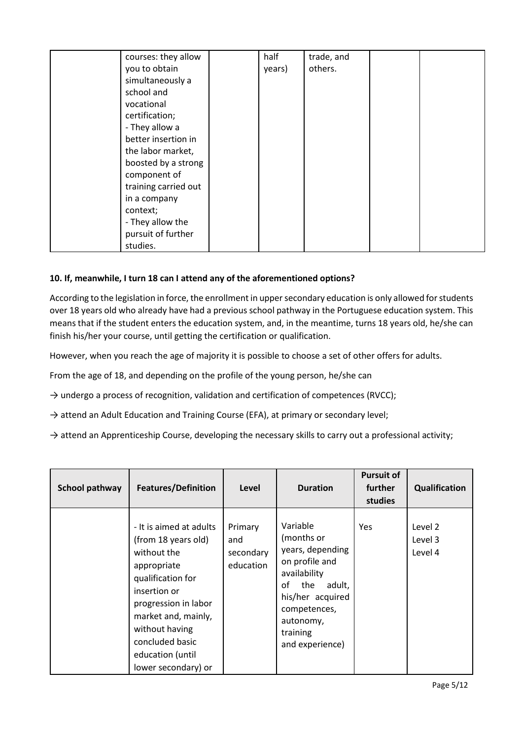| courses: they allow  | half   | trade, and |  |
|----------------------|--------|------------|--|
| you to obtain        | years) | others.    |  |
| simultaneously a     |        |            |  |
| school and           |        |            |  |
| vocational           |        |            |  |
| certification;       |        |            |  |
| - They allow a       |        |            |  |
| better insertion in  |        |            |  |
| the labor market,    |        |            |  |
| boosted by a strong  |        |            |  |
| component of         |        |            |  |
| training carried out |        |            |  |
| in a company         |        |            |  |
| context;             |        |            |  |
| - They allow the     |        |            |  |
| pursuit of further   |        |            |  |
| studies.             |        |            |  |

## **10. If, meanwhile, I turn 18 can I attend any of the aforementioned options?**

According to the legislation in force, the enrollment in upper secondary education is only allowed for students over 18 years old who already have had a previous school pathway in the Portuguese education system. This means that if the student enters the education system, and, in the meantime, turns 18 years old, he/she can finish his/her your course, until getting the certification or qualification.

However, when you reach the age of majority it is possible to choose a set of other offers for adults.

From the age of 18, and depending on the profile of the young person, he/she can

 $\rightarrow$  undergo a process of recognition, validation and certification of competences (RVCC);

 $\rightarrow$  attend an Adult Education and Training Course (EFA), at primary or secondary level;

 $\rightarrow$  attend an Apprenticeship Course, developing the necessary skills to carry out a professional activity;

| School pathway | <b>Features/Definition</b>                                                                                                                                                                                                                       | Level                                    | <b>Duration</b>                                                                                                                                                                     | <b>Pursuit of</b><br>further<br>studies | <b>Qualification</b>          |
|----------------|--------------------------------------------------------------------------------------------------------------------------------------------------------------------------------------------------------------------------------------------------|------------------------------------------|-------------------------------------------------------------------------------------------------------------------------------------------------------------------------------------|-----------------------------------------|-------------------------------|
|                | - It is aimed at adults<br>(from 18 years old)<br>without the<br>appropriate<br>qualification for<br>insertion or<br>progression in labor<br>market and, mainly,<br>without having<br>concluded basic<br>education (until<br>lower secondary) or | Primary<br>and<br>secondary<br>education | Variable<br>(months or<br>years, depending<br>on profile and<br>availability<br>of<br>the<br>adult,<br>his/her acquired<br>competences,<br>autonomy,<br>training<br>and experience) | <b>Yes</b>                              | Level 2<br>Level 3<br>Level 4 |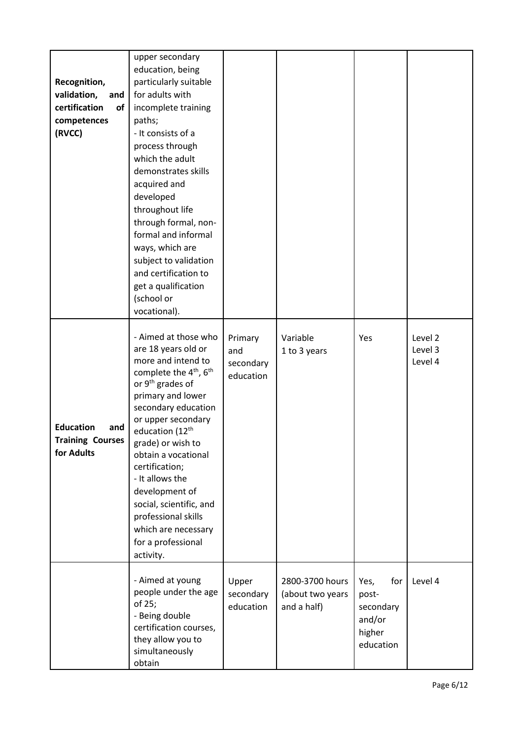| Recognition,<br>validation,<br>and<br>certification<br>of<br>competences<br>(RVCC) | upper secondary<br>education, being<br>particularly suitable<br>for adults with<br>incomplete training<br>paths;<br>- It consists of a<br>process through<br>which the adult<br>demonstrates skills<br>acquired and<br>developed<br>throughout life<br>through formal, non-<br>formal and informal<br>ways, which are<br>subject to validation<br>and certification to<br>get a qualification<br>(school or<br>vocational).                                         |                                          |                                                    |                                                                    |                               |
|------------------------------------------------------------------------------------|---------------------------------------------------------------------------------------------------------------------------------------------------------------------------------------------------------------------------------------------------------------------------------------------------------------------------------------------------------------------------------------------------------------------------------------------------------------------|------------------------------------------|----------------------------------------------------|--------------------------------------------------------------------|-------------------------------|
| <b>Education</b><br>and<br><b>Training Courses</b><br>for Adults                   | - Aimed at those who<br>are 18 years old or<br>more and intend to<br>complete the 4 <sup>th</sup> , 6 <sup>th</sup><br>or 9 <sup>th</sup> grades of<br>primary and lower<br>secondary education<br>or upper secondary<br>education (12 <sup>th</sup><br>grade) or wish to<br>obtain a vocational<br>certification;<br>- It allows the<br>development of<br>social, scientific, and<br>professional skills<br>which are necessary<br>for a professional<br>activity. | Primary<br>and<br>secondary<br>education | Variable<br>1 to 3 years                           | Yes                                                                | Level 2<br>Level 3<br>Level 4 |
|                                                                                    | - Aimed at young<br>people under the age<br>of 25;<br>- Being double<br>certification courses,<br>they allow you to<br>simultaneously<br>obtain                                                                                                                                                                                                                                                                                                                     | Upper<br>secondary<br>education          | 2800-3700 hours<br>(about two years<br>and a half) | Yes,<br>for<br>post-<br>secondary<br>and/or<br>higher<br>education | Level 4                       |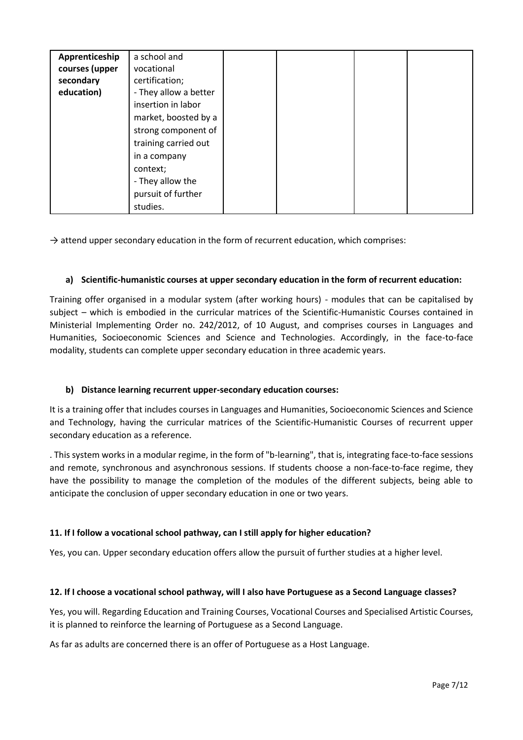| Apprenticeship | a school and          |  |  |
|----------------|-----------------------|--|--|
| courses (upper | vocational            |  |  |
| secondary      | certification;        |  |  |
| education)     | - They allow a better |  |  |
|                | insertion in labor    |  |  |
|                | market, boosted by a  |  |  |
|                | strong component of   |  |  |
|                | training carried out  |  |  |
|                | in a company          |  |  |
|                | context;              |  |  |
|                | - They allow the      |  |  |
|                | pursuit of further    |  |  |
|                | studies.              |  |  |

 $\rightarrow$  attend upper secondary education in the form of recurrent education, which comprises:

## **a) Scientific-humanistic courses at upper secondary education in the form of recurrent education:**

Training offer organised in a modular system (after working hours) - modules that can be capitalised by subject – which is embodied in the curricular matrices of the Scientific-Humanistic Courses contained in Ministerial Implementing Order no. 242/2012, of 10 August, and comprises courses in Languages and Humanities, Socioeconomic Sciences and Science and Technologies. Accordingly, in the face-to-face modality, students can complete upper secondary education in three academic years.

## **b) Distance learning recurrent upper-secondary education courses:**

It is a training offer that includes courses in Languages and Humanities, Socioeconomic Sciences and Science and Technology, having the curricular matrices of the Scientific-Humanistic Courses of recurrent upper secondary education as a reference.

. This system works in a modular regime, in the form of "b-learning", that is, integrating face-to-face sessions and remote, synchronous and asynchronous sessions. If students choose a non-face-to-face regime, they have the possibility to manage the completion of the modules of the different subjects, being able to anticipate the conclusion of upper secondary education in one or two years.

## **11. If I follow a vocational school pathway, can I still apply for higher education?**

Yes, you can. Upper secondary education offers allow the pursuit of further studies at a higher level.

## **12. If I choose a vocational school pathway, will I also have Portuguese as a Second Language classes?**

Yes, you will. Regarding Education and Training Courses, Vocational Courses and Specialised Artistic Courses, it is planned to reinforce the learning of Portuguese as a Second Language.

As far as adults are concerned there is an offer of Portuguese as a Host Language.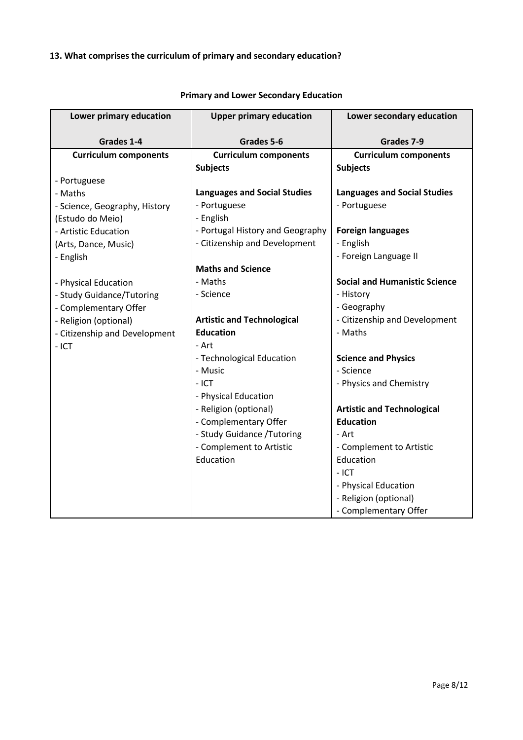# **13. What comprises the curriculum of primary and secondary education?**

| Lower primary education       | <b>Upper primary education</b>      | Lower secondary education            |
|-------------------------------|-------------------------------------|--------------------------------------|
| Grades 1-4                    | Grades 5-6                          | Grades 7-9                           |
| <b>Curriculum components</b>  | <b>Curriculum components</b>        | <b>Curriculum components</b>         |
|                               | <b>Subjects</b>                     | <b>Subjects</b>                      |
| - Portuguese                  |                                     |                                      |
| - Maths                       | <b>Languages and Social Studies</b> | <b>Languages and Social Studies</b>  |
|                               | - Portuguese                        | - Portuguese                         |
| - Science, Geography, History | - English                           |                                      |
| (Estudo do Meio)              |                                     |                                      |
| - Artistic Education          | - Portugal History and Geography    | <b>Foreign languages</b>             |
| (Arts, Dance, Music)          | - Citizenship and Development       | - English                            |
| - English                     |                                     | - Foreign Language II                |
|                               | <b>Maths and Science</b>            |                                      |
| - Physical Education          | - Maths                             | <b>Social and Humanistic Science</b> |
| - Study Guidance/Tutoring     | - Science                           | - History                            |
| - Complementary Offer         |                                     | - Geography                          |
| - Religion (optional)         | <b>Artistic and Technological</b>   | - Citizenship and Development        |
| - Citizenship and Development | <b>Education</b>                    | - Maths                              |
| $-$ ICT                       | - Art                               |                                      |
|                               | - Technological Education           | <b>Science and Physics</b>           |
|                               | - Music                             | - Science                            |
|                               | $-$ ICT                             | - Physics and Chemistry              |
|                               | - Physical Education                |                                      |
|                               | - Religion (optional)               | <b>Artistic and Technological</b>    |
|                               | - Complementary Offer               | <b>Education</b>                     |
|                               | - Study Guidance / Tutoring         | - Art                                |
|                               | - Complement to Artistic            | - Complement to Artistic             |
|                               | Education                           | Education                            |
|                               |                                     | $-$ ICT                              |
|                               |                                     | - Physical Education                 |
|                               |                                     | - Religion (optional)                |
|                               |                                     |                                      |
|                               |                                     | - Complementary Offer                |

# **Primary and Lower Secondary Education**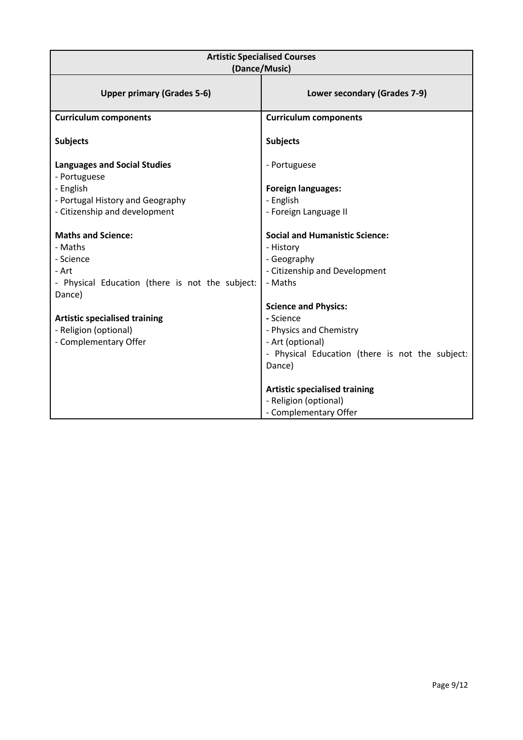| <b>Artistic Specialised Courses</b><br>(Dance/Music)                                                                                                                                                              |                                                                                                                                                                                                                                                                       |  |  |  |
|-------------------------------------------------------------------------------------------------------------------------------------------------------------------------------------------------------------------|-----------------------------------------------------------------------------------------------------------------------------------------------------------------------------------------------------------------------------------------------------------------------|--|--|--|
| <b>Upper primary (Grades 5-6)</b>                                                                                                                                                                                 | Lower secondary (Grades 7-9)                                                                                                                                                                                                                                          |  |  |  |
| <b>Curriculum components</b>                                                                                                                                                                                      | <b>Curriculum components</b>                                                                                                                                                                                                                                          |  |  |  |
| <b>Subjects</b>                                                                                                                                                                                                   | <b>Subjects</b>                                                                                                                                                                                                                                                       |  |  |  |
| <b>Languages and Social Studies</b><br>- Portuguese                                                                                                                                                               | - Portuguese                                                                                                                                                                                                                                                          |  |  |  |
| - English                                                                                                                                                                                                         | <b>Foreign languages:</b>                                                                                                                                                                                                                                             |  |  |  |
| - Portugal History and Geography                                                                                                                                                                                  | - English                                                                                                                                                                                                                                                             |  |  |  |
| - Citizenship and development                                                                                                                                                                                     | - Foreign Language II                                                                                                                                                                                                                                                 |  |  |  |
| <b>Maths and Science:</b><br>- Maths<br>- Science<br>- Art<br>- Physical Education (there is not the subject:<br>Dance)<br><b>Artistic specialised training</b><br>- Religion (optional)<br>- Complementary Offer | <b>Social and Humanistic Science:</b><br>- History<br>- Geography<br>- Citizenship and Development<br>- Maths<br><b>Science and Physics:</b><br>- Science<br>- Physics and Chemistry<br>- Art (optional)<br>- Physical Education (there is not the subject:<br>Dance) |  |  |  |
|                                                                                                                                                                                                                   | <b>Artistic specialised training</b><br>- Religion (optional)<br>- Complementary Offer                                                                                                                                                                                |  |  |  |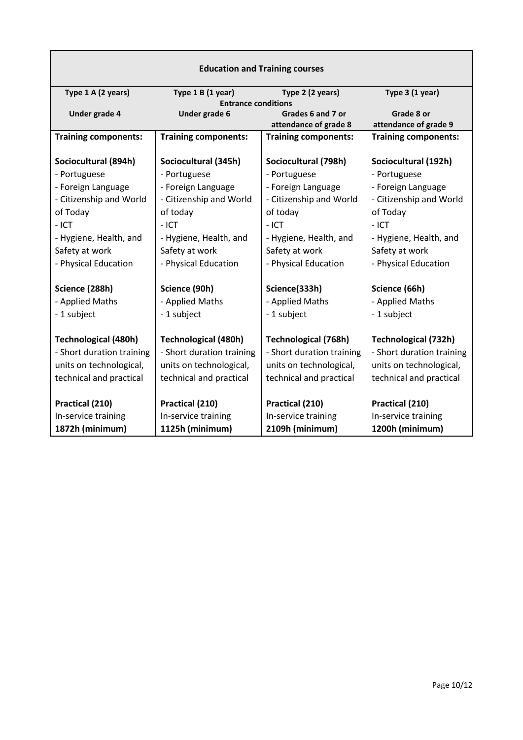| <b>Education and Training courses</b> |                             |                                                      |                                                      |  |  |
|---------------------------------------|-----------------------------|------------------------------------------------------|------------------------------------------------------|--|--|
| Type 1 A (2 years)                    | Type 1 B (1 year)           | Type 2 (2 years)                                     | Type 3 (1 year)                                      |  |  |
|                                       | <b>Entrance conditions</b>  |                                                      |                                                      |  |  |
| Under grade 4<br>Under grade 6        |                             | Grades 6 and 7 or                                    | Grade 8 or                                           |  |  |
| <b>Training components:</b>           | <b>Training components:</b> | attendance of grade 8<br><b>Training components:</b> | attendance of grade 9<br><b>Training components:</b> |  |  |
|                                       |                             |                                                      |                                                      |  |  |
| Sociocultural (894h)                  | Sociocultural (345h)        | Sociocultural (798h)                                 | Sociocultural (192h)                                 |  |  |
| - Portuguese                          | - Portuguese                | - Portuguese                                         | - Portuguese                                         |  |  |
| - Foreign Language                    | - Foreign Language          | - Foreign Language                                   | - Foreign Language                                   |  |  |
| - Citizenship and World               | - Citizenship and World     | - Citizenship and World                              | - Citizenship and World                              |  |  |
| of Today                              | of today                    | of today                                             | of Today                                             |  |  |
| $-$ ICT                               | $-$ ICT                     | $-$ ICT                                              | $-$ ICT                                              |  |  |
| - Hygiene, Health, and                | - Hygiene, Health, and      | - Hygiene, Health, and                               | - Hygiene, Health, and                               |  |  |
| Safety at work                        | Safety at work              | Safety at work                                       | Safety at work                                       |  |  |
| - Physical Education                  | - Physical Education        | - Physical Education                                 | - Physical Education                                 |  |  |
| Science (288h)                        | Science (90h)               | Science(333h)                                        | Science (66h)                                        |  |  |
| - Applied Maths                       | - Applied Maths             | - Applied Maths                                      | - Applied Maths                                      |  |  |
| - 1 subject                           | - 1 subject                 | - 1 subject                                          | - 1 subject                                          |  |  |
| <b>Technological (480h)</b>           | <b>Technological (480h)</b> | <b>Technological (768h)</b>                          | <b>Technological (732h)</b>                          |  |  |
| - Short duration training             | - Short duration training   | - Short duration training                            | - Short duration training                            |  |  |
| units on technological,               | units on technological,     | units on technological,                              | units on technological,                              |  |  |
| technical and practical               | technical and practical     | technical and practical                              | technical and practical                              |  |  |
|                                       |                             |                                                      |                                                      |  |  |
| Practical (210)                       | Practical (210)             | Practical (210)                                      | Practical (210)                                      |  |  |
| In-service training                   | In-service training         | In-service training                                  | In-service training                                  |  |  |
| 1872h (minimum)                       | 1125h (minimum)             | 2109h (minimum)                                      | 1200h (minimum)                                      |  |  |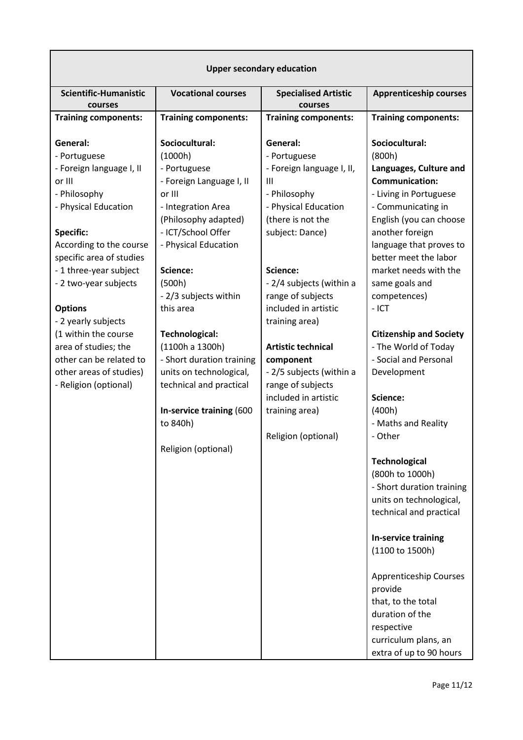| <b>Upper secondary education</b>                                                                                                                                                                                                                                                                                                                                                                             |                                                                                                                                                                                                                                                                                                                                                                                                                                |                                                                                                                                                                                                                                                                                                                                                                                                                            |                                                                                                                                                                                                                                                                                                                                                                                                                                                                                                                                                                                                                                                                                                                                                 |  |  |
|--------------------------------------------------------------------------------------------------------------------------------------------------------------------------------------------------------------------------------------------------------------------------------------------------------------------------------------------------------------------------------------------------------------|--------------------------------------------------------------------------------------------------------------------------------------------------------------------------------------------------------------------------------------------------------------------------------------------------------------------------------------------------------------------------------------------------------------------------------|----------------------------------------------------------------------------------------------------------------------------------------------------------------------------------------------------------------------------------------------------------------------------------------------------------------------------------------------------------------------------------------------------------------------------|-------------------------------------------------------------------------------------------------------------------------------------------------------------------------------------------------------------------------------------------------------------------------------------------------------------------------------------------------------------------------------------------------------------------------------------------------------------------------------------------------------------------------------------------------------------------------------------------------------------------------------------------------------------------------------------------------------------------------------------------------|--|--|
| <b>Scientific-Humanistic</b><br>courses                                                                                                                                                                                                                                                                                                                                                                      | <b>Vocational courses</b>                                                                                                                                                                                                                                                                                                                                                                                                      | <b>Specialised Artistic</b><br>courses                                                                                                                                                                                                                                                                                                                                                                                     | <b>Apprenticeship courses</b>                                                                                                                                                                                                                                                                                                                                                                                                                                                                                                                                                                                                                                                                                                                   |  |  |
| <b>Training components:</b>                                                                                                                                                                                                                                                                                                                                                                                  | <b>Training components:</b>                                                                                                                                                                                                                                                                                                                                                                                                    | <b>Training components:</b>                                                                                                                                                                                                                                                                                                                                                                                                | <b>Training components:</b>                                                                                                                                                                                                                                                                                                                                                                                                                                                                                                                                                                                                                                                                                                                     |  |  |
| General:<br>- Portuguese<br>- Foreign language I, II<br>or III<br>- Philosophy<br>- Physical Education<br><b>Specific:</b><br>According to the course<br>specific area of studies<br>- 1 three-year subject<br>- 2 two-year subjects<br><b>Options</b><br>- 2 yearly subjects<br>(1 within the course<br>area of studies; the<br>other can be related to<br>other areas of studies)<br>- Religion (optional) | Sociocultural:<br>(1000h)<br>- Portuguese<br>- Foreign Language I, II<br>or III<br>- Integration Area<br>(Philosophy adapted)<br>- ICT/School Offer<br>- Physical Education<br>Science:<br>(500h)<br>- 2/3 subjects within<br>this area<br>Technological:<br>(1100h a 1300h)<br>- Short duration training<br>units on technological,<br>technical and practical<br>In-service training (600<br>to 840h)<br>Religion (optional) | General:<br>- Portuguese<br>- Foreign language I, II,<br>$\mathbf{III}$<br>- Philosophy<br>- Physical Education<br>(there is not the<br>subject: Dance)<br>Science:<br>- 2/4 subjects (within a<br>range of subjects<br>included in artistic<br>training area)<br><b>Artistic technical</b><br>component<br>- 2/5 subjects (within a<br>range of subjects<br>included in artistic<br>training area)<br>Religion (optional) | Sociocultural:<br>(800h)<br>Languages, Culture and<br><b>Communication:</b><br>- Living in Portuguese<br>- Communicating in<br>English (you can choose<br>another foreign<br>language that proves to<br>better meet the labor<br>market needs with the<br>same goals and<br>competences)<br>$-$ ICT<br><b>Citizenship and Society</b><br>- The World of Today<br>- Social and Personal<br>Development<br>Science:<br>(400h)<br>- Maths and Reality<br>- Other<br><b>Technological</b><br>(800h to 1000h)<br>- Short duration training<br>units on technological,<br>technical and practical<br><b>In-service training</b><br>(1100 to 1500h)<br><b>Apprenticeship Courses</b><br>provide<br>that, to the total<br>duration of the<br>respective |  |  |
|                                                                                                                                                                                                                                                                                                                                                                                                              |                                                                                                                                                                                                                                                                                                                                                                                                                                |                                                                                                                                                                                                                                                                                                                                                                                                                            | curriculum plans, an<br>extra of up to 90 hours                                                                                                                                                                                                                                                                                                                                                                                                                                                                                                                                                                                                                                                                                                 |  |  |